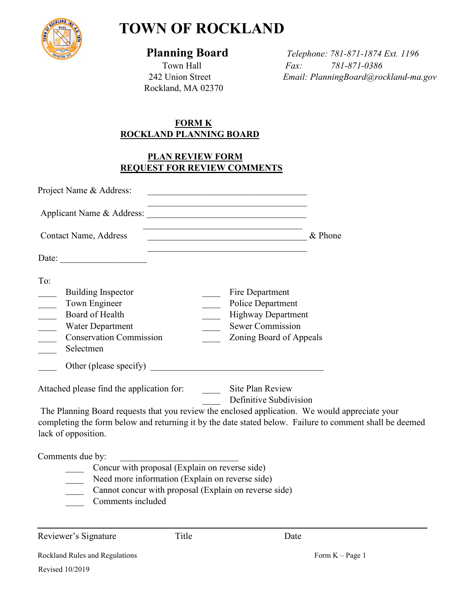

# **TOWN OF ROCKLAND**

Rockland, MA 02370

 **Planning Board** *Telephone: 781-871-1874 Ext. 1196* Town Hall *Fax:* 781-871-0386<br>242 Union Street *Email: PlanningBoard@rod* 242 Union Street *Email: PlanningBoard@rockland-ma.gov*

## **FORM K ROCKLAND PLANNING BOARD**

# **PLAN REVIEW FORM REQUEST FOR REVIEW COMMENTS**

| Project Name & Address:                                                                                                                                                                                                                                                                                                                                                                                                                           | <u> 1989 - Johann John Stein, mars an deus Amerikaansk kommunister (</u>                                                                                                                                  |
|---------------------------------------------------------------------------------------------------------------------------------------------------------------------------------------------------------------------------------------------------------------------------------------------------------------------------------------------------------------------------------------------------------------------------------------------------|-----------------------------------------------------------------------------------------------------------------------------------------------------------------------------------------------------------|
|                                                                                                                                                                                                                                                                                                                                                                                                                                                   |                                                                                                                                                                                                           |
| Contact Name, Address                                                                                                                                                                                                                                                                                                                                                                                                                             | <u> 1990 - Paris Paris, poeta estadounidense en la provincia estadounidense en la provincia en la provincia en la</u><br>$\sim$ & Phone                                                                   |
| Date: $\frac{1}{\sqrt{1-\frac{1}{2}} \cdot \frac{1}{2} \cdot \frac{1}{2} \cdot \frac{1}{2} \cdot \frac{1}{2} \cdot \frac{1}{2} \cdot \frac{1}{2} \cdot \frac{1}{2} \cdot \frac{1}{2} \cdot \frac{1}{2} \cdot \frac{1}{2} \cdot \frac{1}{2} \cdot \frac{1}{2} \cdot \frac{1}{2} \cdot \frac{1}{2} \cdot \frac{1}{2} \cdot \frac{1}{2} \cdot \frac{1}{2} \cdot \frac{1}{2} \cdot \frac{1}{2} \cdot \frac{1}{2} \cdot \frac{1}{2} \cdot \frac{1}{2}$ |                                                                                                                                                                                                           |
| To:<br><b>Building Inspector</b><br>Town Engineer<br>$\overline{\phantom{a}}$<br>Board of Health<br>$\frac{\partial \mathbf{r}}{\partial \mathbf{r}}$<br>Water Department<br><b>Conservation Commission</b><br>Selectmen                                                                                                                                                                                                                          | Fire Department<br>Police Department<br><b>Highway Department</b><br><b>Sewer Commission</b><br>Zoning Board of Appeals                                                                                   |
|                                                                                                                                                                                                                                                                                                                                                                                                                                                   | Attached please find the application for: Site Plan Review<br>Definitive Subdivision                                                                                                                      |
| lack of opposition.                                                                                                                                                                                                                                                                                                                                                                                                                               | The Planning Board requests that you review the enclosed application. We would appreciate your<br>completing the form below and returning it by the date stated below. Failure to comment shall be deemed |
| Comments due by:                                                                                                                                                                                                                                                                                                                                                                                                                                  |                                                                                                                                                                                                           |
|                                                                                                                                                                                                                                                                                                                                                                                                                                                   | Concur with proposal (Explain on reverse side)<br>Need more information (Explain on reverse side)                                                                                                         |
| Comments included                                                                                                                                                                                                                                                                                                                                                                                                                                 | Cannot concur with proposal (Explain on reverse side)                                                                                                                                                     |
|                                                                                                                                                                                                                                                                                                                                                                                                                                                   |                                                                                                                                                                                                           |

Reviewer's Signature Title Date